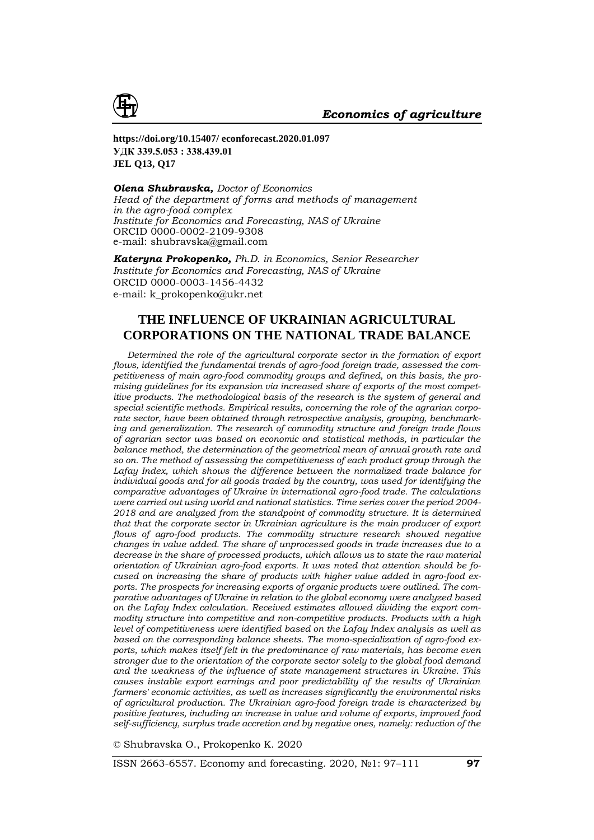

**https://doi.org/10.15407/ econforecast.2020.01.097 УДК 339.5.053 : 338.439.01 JEL Q13, Q17**

*Olena Shubravska, Doctor of Economics Head of the department of forms and methods of management in the agro-food complex Institute for Economics and Forecasting, NAS of Ukraine* ORCID 0000-0002-2109-9308 е-mail: [shubravska@gmail.com](mailto:shubravska@gmail.com)

*Kateryna Prokopenko, Ph.D. in Economics, Senior Researcher Institute for Economics and Forecasting, NAS of Ukraine* ORCID 0000-0003-1456-4432 е-mail: [k\\_prokopenko@ukr.net](mailto:k_prokopenko@ukr.net)

## **THE INFLUENCE OF UKRAINIAN AGRICULTURAL CORPORATIONS ON THE NATIONAL TRADE BALANCE**

*Determined the role of the agricultural corporate sector in the formation of export flows, identified the fundamental trends of agro-food foreign trade, assessed the competitiveness of main agro-food commodity groups and defined, on this basis, the promising guidelines for its expansion via increased share of exports of the most competitive products. The methodological basis of the research is the system of general and special scientific methods. Empirical results, concerning the role of the agrarian corporate sector, have been obtained through retrospective analysis, grouping, benchmarking and generalization. The research of commodity structure and foreign trade flows of agrarian sector was based on economic and statistical methods, in particular the balance method, the determination of the geometrical mean of annual growth rate and so on. The method of assessing the competitiveness of each product group through the Lafay Index, which shows the difference between the normalized trade balance for individual goods and for all goods traded by the country, was used for identifying the comparative advantages of Ukraine in international agro-food trade. The calculations were carried out using world and national statistics. Time series cover the period 2004- 2018 and are analyzed from the standpoint of commodity structure. It is determined that that the corporate sector in Ukrainian agriculture is the main producer of export flows of agro-food products. The commodity structure research showed negative changes in value added. The share of unprocessed goods in trade increases due to a decrease in the share of processed products, which allows us to state the raw material orientation of Ukrainian agro-food exports. It was noted that attention should be focused on increasing the share of products with higher value added in agro-food exports. The prospects for increasing exports of organic products were outlined. The comparative advantages of Ukraine in relation to the global economy were analyzed based on the Lafay Index calculation. Received estimates allowed dividing the export commodity structure into competitive and non-competitive products. Products with a high level of competitiveness were identified based on the Lafay Index analysis as well as based on the corresponding balance sheets. The mono-specialization of agro-food exports, which makes itself felt in the predominance of raw materials, has become even stronger due to the orientation of the corporate sector solely to the global food demand and the weakness of the influence of state management structures in Ukraine. This causes instable export earnings and poor predictability of the results of Ukrainian farmers' economic activities, as well as increases significantly the environmental risks of agricultural production. The Ukrainian agro-food foreign trade is characterized by positive features, including an increase in value and volume of exports, improved food self-sufficiency, surplus trade accretion and by negative ones, namely: reduction of the* 

© Shubravska O., Prokopenko K. 2020

ISSN 2663-6557. Economy and forecasting. 2020, №1: 97–111 **97**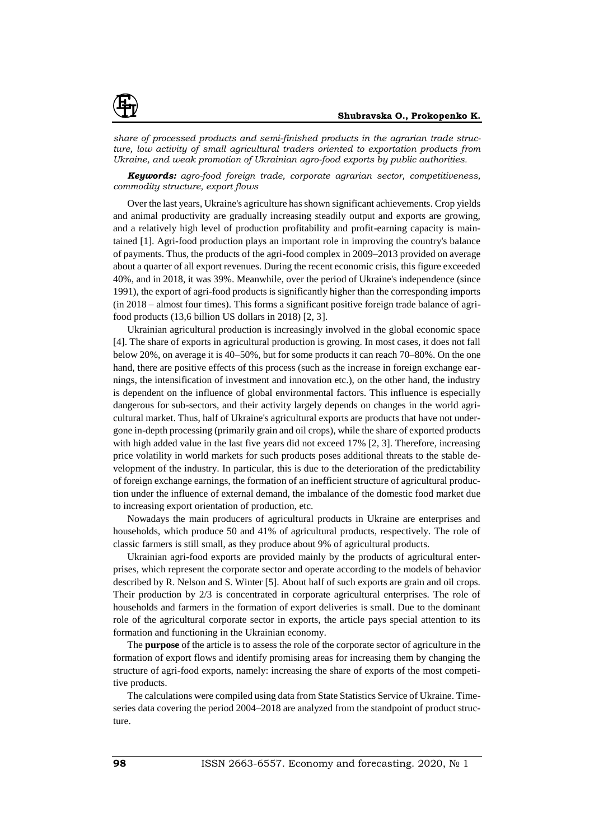

*share of processed products and semi-finished products in the agrarian trade structure, low activity of small agricultural traders oriented to exportation products from Ukraine, and weak promotion of Ukrainian agro-food exports by public authorities.*

*Keywords: agro-food foreign trade, corporate agrarian sector, competitiveness, commodity structure, export flows*

Over the last years, Ukraine's agriculture has shown significant achievements. Crop yields and animal productivity are gradually increasing steadily output and exports are growing, and a relatively high level of production profitability and profit-earning capacity is maintained [1]. Agri-food production plays an important role in improving the country's balance of payments. Thus, the products of the agri-food complex in 2009–2013 provided on average about a quarter of all export revenues. During the recent economic crisis, this figure exceeded 40%, and in 2018, it was 39%. Meanwhile, over the period of Ukraine's independence (since 1991), the export of agri-food products is significantly higher than the corresponding imports (in 2018 – almost four times). This forms a significant positive foreign trade balance of agrifood products (13,6 billion US dollars in 2018) [2, 3].

Ukrainian agricultural production is increasingly involved in the global economic space [4]. The share of exports in agricultural production is growing. In most cases, it does not fall below 20%, on average it is 40–50%, but for some products it can reach 70–80%. On the one hand, there are positive effects of this process (such as the increase in foreign exchange earnings, the intensification of investment and innovation etc.), on the other hand, the industry is dependent on the influence of global environmental factors. This influence is especially dangerous for sub-sectors, and their activity largely depends on changes in the world agricultural market. Thus, half of Ukraine's agricultural exports are products that have not undergone in-depth processing (primarily grain and oil crops), while the share of exported products with high added value in the last five years did not exceed 17% [2, 3]. Therefore, increasing price volatility in world markets for such products poses additional threats to the stable development of the industry. In particular, this is due to the deterioration of the predictability of foreign exchange earnings, the formation of an inefficient structure of agricultural production under the influence of external demand, the imbalance of the domestic food market due to increasing export orientation of production, etc.

Nowadays the main producers of agricultural products in Ukraine are enterprises and households, which produce 50 and 41% of agricultural products, respectively. The role of classic farmers is still small, as they produce about 9% of agricultural products.

Ukrainian agri-food exports are provided mainly by the products of agricultural enterprises, which represent the corporate sector and operate according to the models of behavior described by R. Nelson and S. Winter [5]. About half of such exports are grain and oil crops. Their production by 2/3 is concentrated in corporate agricultural enterprises. The role of households and farmers in the formation of export deliveries is small. Due to the dominant role of the agricultural corporate sector in exports, the article pays special attention to its formation and functioning in the Ukrainian economy.

The **purpose** of the article is to assess the role of the corporate sector of agriculture in the formation of export flows and identify promising areas for increasing them by changing the structure of agri-food exports, namely: increasing the share of exports of the most competitive products.

The calculations were compiled using data from State Statistics Service of Ukraine. Timeseries data covering the period 2004–2018 are analyzed from the standpoint of product structure.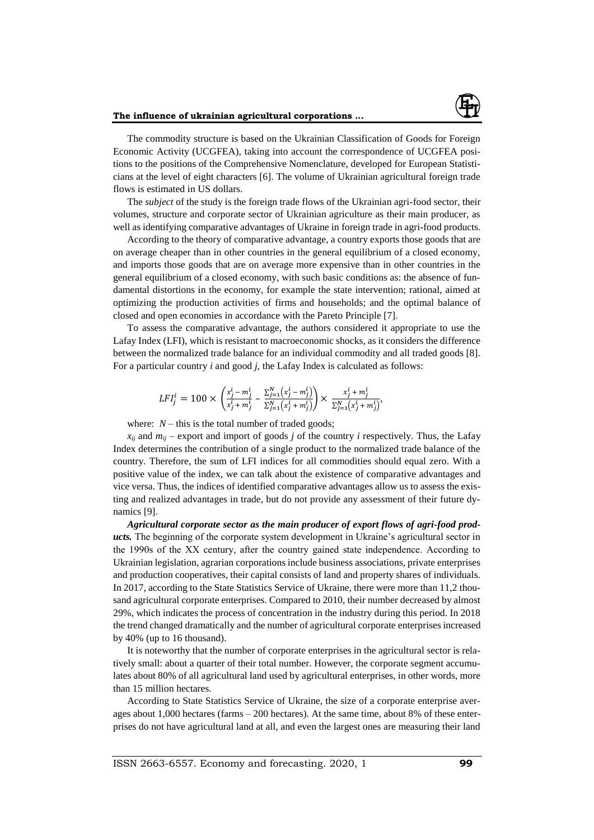

The commodity structure is based on the Ukrainian Classification of Goods for Foreign Economic Activity (UCGFEA), taking into account the correspondence of UCGFEA positions to the positions of the Comprehensive Nomenclature, developed for European Statisticians at the level of eight characters [6]. The volume of Ukrainian agricultural foreign trade flows is estimated in US dollars.

The *subject* of the study is the foreign trade flows of the Ukrainian agri-food sector, their volumes, structure and corporate sector of Ukrainian agriculture as their main producer, as well as identifying comparative advantages of Ukraine in foreign trade in agri-food products.

According to the theory of comparative advantage, a country exports those goods that are on average cheaper than in other countries in the general equilibrium of a closed economy, and imports those goods that are on average more expensive than in other countries in the general equilibrium of a closed economy, with such basic conditions as: the absence of fundamental distortions in the economy, for example the state intervention; rational, aimed at optimizing the production activities of firms and households; and the optimal balance of closed and open economies in accordance with the Pareto Principle [7].

To assess the comparative advantage, the authors considered it appropriate to use the Lafay Index (LFI), which is resistant to macroeconomic shocks, as it considers the difference between the normalized trade balance for an individual commodity and all traded goods [8]. For a particular country *i* and good *j*, the Lafay Index is calculated as follows:

$$
LFI_j^i = 100 \times \left(\frac{x_j^i - m_j^i}{x_j^i + m_j^i} - \frac{\sum_{j=1}^N (x_j^i - m_j^i)}{\sum_{j=1}^N (x_j^i + m_j^i)}\right) \times \frac{x_j^i + m_j^i}{\sum_{j=1}^N (x_j^i + m_j^i)},
$$

where:  $N$  – this is the total number of traded goods;

 $x_{ii}$  and  $m_{ii}$  – export and import of goods *j* of the country *i* respectively. Thus, the Lafay Index determines the contribution of a single product to the normalized trade balance of the country. Therefore, the sum of LFI indices for all commodities should equal zero. With a positive value of the index, we can talk about the existence of comparative advantages and vice versa. Thus, the indices of identified comparative advantages allow us to assess the existing and realized advantages in trade, but do not provide any assessment of their future dynamics [9].

*Agricultural corporate sector as the main producer of export flows of agri-food products.* The beginning of the corporate system development in Ukraine's agricultural sector in the 1990s of the ХХ century, after the country gained state independence. According to Ukrainian legislation, agrarian corporations include business associations, private enterprises and production cooperatives, their capital consists of land and property shares of individuals. In 2017, according to the State Statistics Service of Ukraine, there were more than 11,2 thousand agricultural corporate enterprises. Compared to 2010, their number decreased by almost 29%, which indicates the process of concentration in the industry during this period. In 2018 the trend changed dramatically and the number of agricultural corporate enterprises increased by 40% (up to 16 thousand).

It is noteworthy that the number of corporate enterprises in the agricultural sector is relatively small: about a quarter of their total number. However, the corporate segment accumulates about 80% of all agricultural land used by agricultural enterprises, in other words, more than 15 million hectares.

According to State Statistics Service of Ukraine, the size of a corporate enterprise averages about 1,000 hectares (farms – 200 hectares). At the same time, about 8% of these enterprises do not have agricultural land at all, and even the largest ones are measuring their land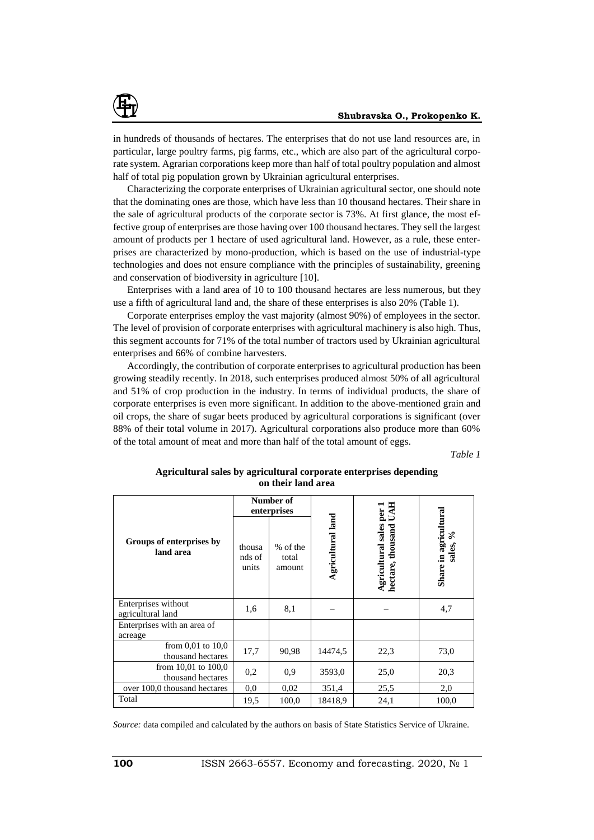

in hundreds of thousands of hectares. The enterprises that do not use land resources are, in particular, large poultry farms, pig farms, etc., which are also part of the agricultural corporate system. Agrarian corporations keep more than half of total poultry population and almost half of total pig population grown by Ukrainian agricultural enterprises.

Characterizing the corporate enterprises of Ukrainian agricultural sector, one should note that the dominating ones are those, which have less than 10 thousand hectares. Their share in the sale of agricultural products of the corporate sector is 73%. At first glance, the most effective group of enterprises are those having over 100 thousand hectares. They sell the largest amount of products per 1 hectare of used agricultural land. However, as a rule, these enterprises are characterized by mono-production, which is based on the use of industrial-type technologies and does not ensure compliance with the principles of sustainability, greening and conservation of biodiversity in agriculture [10].

Enterprises with a land area of 10 to 100 thousand hectares are less numerous, but they use a fifth of agricultural land and, the share of these enterprises is also 20% (Table 1).

Corporate enterprises employ the vast majority (almost 90%) of employees in the sector. The level of provision of corporate enterprises with agricultural machinery is also high. Thus, this segment accounts for 71% of the total number of tractors used by Ukrainian agricultural enterprises and 66% of combine harvesters.

Accordingly, the contribution of corporate enterprises to agricultural production has been growing steadily recently. In 2018, such enterprises produced almost 50% of all agricultural and 51% of crop production in the industry. In terms of individual products, the share of corporate enterprises is even more significant. In addition to the above-mentioned grain and oil crops, the share of sugar beets produced by agricultural corporations is significant (over 88% of their total volume in 2017). Agricultural corporations also produce more than 60% of the total amount of meat and more than half of the total amount of eggs.

*Table 1*

| Agricultural sales by agricultural corporate enterprises depending |
|--------------------------------------------------------------------|
| on their land area                                                 |

|                                              | Number of<br>enterprises  |                             |                   | 丐<br>per                                |                                      |  |
|----------------------------------------------|---------------------------|-----------------------------|-------------------|-----------------------------------------|--------------------------------------|--|
| Groups of enterprises by<br>land area        | thousa<br>nds of<br>units | % of the<br>total<br>amount | Agricultural land | Agricultural sales<br>hectare, thousand | Share in agricultural<br>వ<br>sales, |  |
| Enterprises without<br>agricultural land     | 1,6                       | 8,1                         |                   |                                         | 4,7                                  |  |
| Enterprises with an area of<br>acreage       |                           |                             |                   |                                         |                                      |  |
| from $0,01$ to $10,0$<br>thousand hectares   | 17,7                      | 90,98                       | 14474,5           | 22,3                                    | 73,0                                 |  |
| from $10,01$ to $100,0$<br>thousand hectares | 0,2                       | 0.9                         | 3593,0            | 25,0                                    | 20,3                                 |  |
| over 100,0 thousand hectares                 | 0,0                       | 0,02                        | 351,4             | 25,5                                    | 2,0                                  |  |
| Total                                        | 19,5                      | 100,0                       | 18418,9           | 24,1                                    | 100,0                                |  |

*Source:* data compiled and calculated by the authors on basis of State Statistics Service of Ukraine.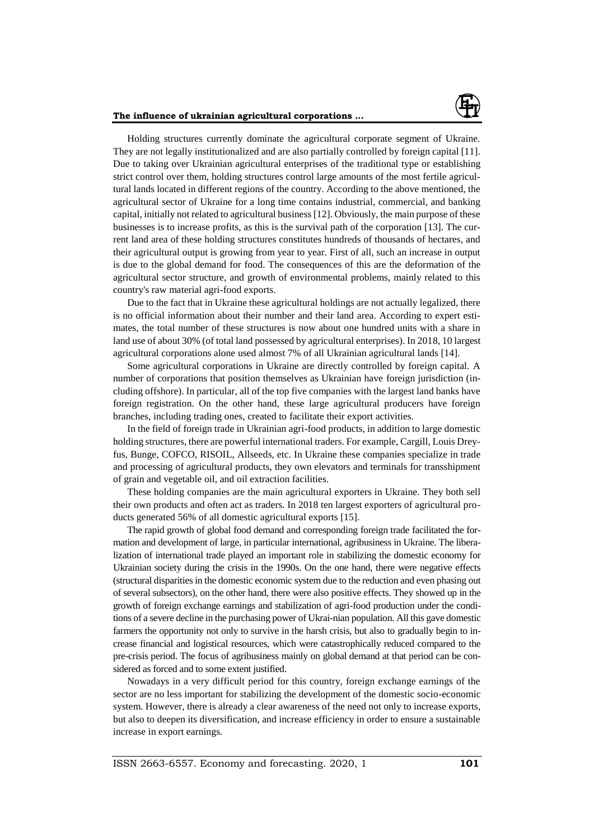

Holding structures currently dominate the agricultural corporate segment of Ukraine. They are not legally institutionalized and are also partially controlled by foreign capital [11]. Due to taking over Ukrainian agricultural enterprises of the traditional type or establishing strict control over them, holding structures control large amounts of the most fertile agricultural lands located in different regions of the country. According to the above mentioned, the agricultural sector of Ukraine for a long time contains industrial, commercial, and banking capital, initially not related to agricultural business [12]. Obviously, the main purpose of these businesses is to increase profits, as this is the survival path of the corporation [13]. The current land area of these holding structures constitutes hundreds of thousands of hectares, and their agricultural output is growing from year to year. First of all, such an increase in output is due to the global demand for food. The consequences of this are the deformation of the agricultural sector structure, and growth of environmental problems, mainly related to this country's raw material agri-food exports.

Due to the fact that in Ukraine these agricultural holdings are not actually legalized, there is no official information about their number and their land area. According to expert estimates, the total number of these structures is now about one hundred units with a share in land use of about 30% (of total land possessed by agricultural enterprises). In 2018, 10 largest agricultural corporations alone used almost 7% of all Ukrainian agricultural lands [14].

Some agricultural corporations in Ukraine are directly controlled by foreign capital. A number of corporations that position themselves as Ukrainian have foreign jurisdiction (including offshore). In particular, all of the top five companies with the largest land banks have foreign registration. On the other hand, these large agricultural producers have foreign branches, including trading ones, created to facilitate their export activities.

In the field of foreign trade in Ukrainian agri-food products, in addition to large domestic holding structures, there are powerful international traders. For example, Cargill, Louis Dreyfus, Bunge, COFCO, RISOIL, Allseeds, etc. In Ukraine these companies specialize in trade and processing of agricultural products, they own elevators and terminals for transshipment of grain and vegetable oil, and oil extraction facilities.

These holding companies are the main agricultural exporters in Ukraine. They both sell their own products and often act as traders. In 2018 ten largest exporters of agricultural products generated 56% of all domestic agricultural exports [15].

The rapid growth of global food demand and corresponding foreign trade facilitated the formation and development of large, in particular international, agribusiness in Ukraine. The liberalization of international trade played an important role in stabilizing the domestic economy for Ukrainian society during the crisis in the 1990s. On the one hand, there were negative effects (structural disparities in the domestic economic system due to the reduction and even phasing out of several subsectors), on the other hand, there were also positive effects. They showed up in the growth of foreign exchange earnings and stabilization of agri-food production under the conditions of a severe decline in the purchasing power of Ukrai-nian population. All this gave domestic farmers the opportunity not only to survive in the harsh crisis, but also to gradually begin to increase financial and logistical resources, which were catastrophically reduced compared to the pre-crisis period. The focus of agribusiness mainly on global demand at that period can be considered as forced and to some extent justified.

Nowadays in a very difficult period for this country, foreign exchange earnings of the sector are no less important for stabilizing the development of the domestic socio-economic system. However, there is already a clear awareness of the need not only to increase exports, but also to deepen its diversification, and increase efficiency in order to ensure a sustainable increase in export earnings.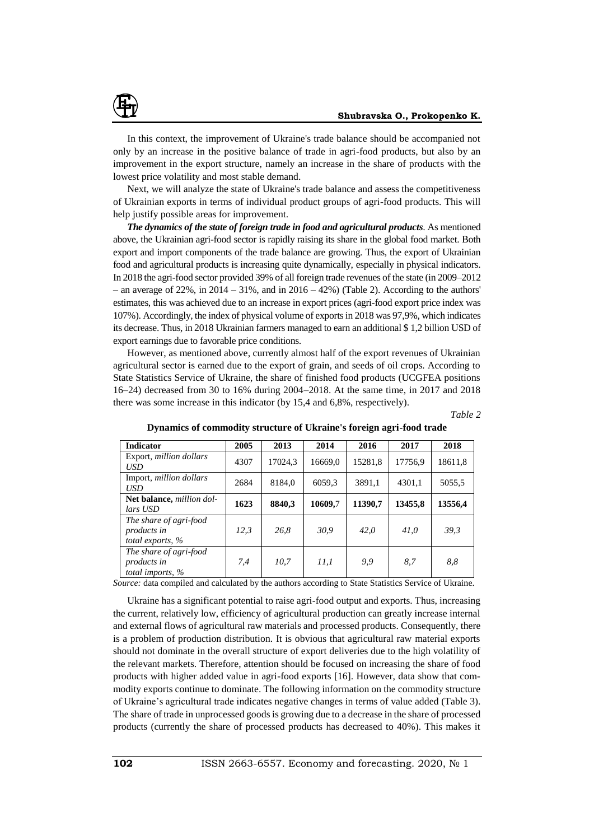

Next, we will analyze the state of Ukraine's trade balance and assess the competitiveness of Ukrainian exports in terms of individual product groups of agri-food products. This will help justify possible areas for improvement.

*The dynamics of the state of foreign trade in food and agricultural products*. As mentioned above, the Ukrainian agri-food sector is rapidly raising its share in the global food market. Both export and import components of the trade balance are growing. Thus, the export of Ukrainian food and agricultural products is increasing quite dynamically, especially in physical indicators. In 2018 the agri-food sector provided 39% of all foreign trade revenues of the state (in 2009–2012 – an average of 22%, in 2014 – 31%, and in 2016 – 42%) (Table 2). According to the authors' estimates, this was achieved due to an increase in export prices (agri-food export price index was 107%). Accordingly, the index of physical volume of exports in 2018 was 97,9%, which indicates its decrease. Thus, in 2018 Ukrainian farmers managed to earn an additional \$ 1,2 billion USD of export earnings due to favorable price conditions.

However, as mentioned above, currently almost half of the export revenues of Ukrainian agricultural sector is earned due to the export of grain, and seeds of oil crops. According to State Statistics Service of Ukraine, the share of finished food products (UCGFEA positions 16–24) decreased from 30 to 16% during 2004–2018. At the same time, in 2017 and 2018 there was some increase in this indicator (by 15,4 and 6,8%, respectively).

*Table 2*

| <b>Indicator</b>                                                    | 2005 | 2013    | 2014    | 2016    | 2017    | 2018    |
|---------------------------------------------------------------------|------|---------|---------|---------|---------|---------|
| Export, million dollars<br><b>USD</b>                               | 4307 | 17024,3 | 16669.0 | 15281,8 | 17756,9 | 18611,8 |
| Import, million dollars<br><b>USD</b>                               | 2684 | 8184.0  | 6059.3  | 3891,1  | 4301.1  | 5055,5  |
| Net balance, million dol-<br>lars USD                               | 1623 | 8840,3  | 10609,7 | 11390,7 | 13455,8 | 13556,4 |
| The share of agri-food<br><i>products in</i><br>total exports, $\%$ | 12,3 | 26,8    | 30,9    | 42.0    | 41,0    | 39,3    |
| The share of agri-food<br><i>products in</i><br>total imports, $\%$ | 7,4  | 10,7    | 11.1    | 9,9     | 8.7     | 8,8     |

**Dynamics of commodity structure of Ukraine's foreign agri-food trade**

*Source:* data compiled and calculated by the authors according to State Statistics Service of Ukraine.

Ukraine has a significant potential to raise agri-food output and exports. Thus, increasing the current, relatively low, efficiency of agricultural production can greatly increase internal and external flows of agricultural raw materials and processed products. Consequently, there is a problem of production distribution. It is obvious that agricultural raw material exports should not dominate in the overall structure of export deliveries due to the high volatility of the relevant markets. Therefore, attention should be focused on increasing the share of food products with higher added value in agri-food exports [16]. However, data show that commodity exports continue to dominate. The following information on the commodity structure of Ukraine's agricultural trade indicates negative changes in terms of value added (Table 3). The share of trade in unprocessed goods is growing due to a decrease in the share of processed products (currently the share of processed products has decreased to 40%). This makes it

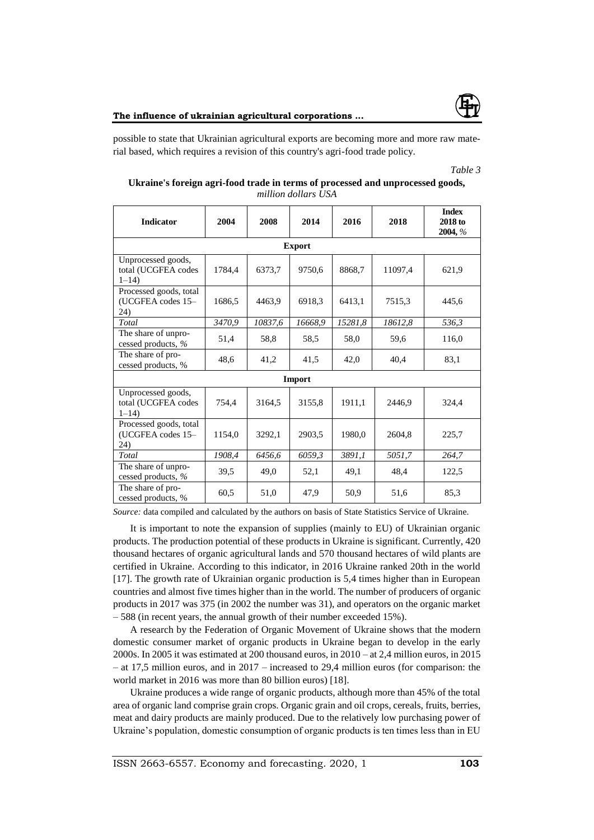

possible to state that Ukrainian agricultural exports are becoming more and more raw material based, which requires a revision of this country's agri-food trade policy.

#### *Table 3*

| Ukraine's foreign agri-food trade in terms of processed and unprocessed goods, |                     |  |  |
|--------------------------------------------------------------------------------|---------------------|--|--|
|                                                                                | million dollars USA |  |  |

| <b>Indicator</b>                                      | 2004   | 2008    | 2014          | 2016    | 2018    | <b>Index</b><br>2018 to<br>2004, % |
|-------------------------------------------------------|--------|---------|---------------|---------|---------|------------------------------------|
|                                                       |        |         | <b>Export</b> |         |         |                                    |
| Unprocessed goods,<br>total (UCGFEA codes<br>$1 - 14$ | 1784,4 | 6373,7  | 9750,6        | 8868,7  | 11097,4 | 621,9                              |
| Processed goods, total<br>(UCGFEA codes 15-<br>24)    | 1686,5 | 4463,9  | 6918,3        | 6413,1  | 7515,3  | 445,6                              |
| Total                                                 | 3470,9 | 10837,6 | 16668,9       | 15281,8 | 18612,8 | 536,3                              |
| The share of unpro-<br>cessed products, %             | 51,4   | 58,8    | 58.5          | 58,0    | 59,6    | 116,0                              |
| The share of pro-<br>cessed products, %               | 48,6   | 41,2    | 41,5          | 42,0    | 40,4    | 83,1                               |
|                                                       |        |         | Import        |         |         |                                    |
| Unprocessed goods,<br>total (UCGFEA codes<br>$1 - 14$ | 754.4  | 3164.5  | 3155.8        | 1911.1  | 2446.9  | 324,4                              |
| Processed goods, total<br>(UCGFEA codes 15-<br>24)    | 1154,0 | 3292,1  | 2903,5        | 1980,0  | 2604,8  | 225,7                              |
| Total                                                 | 1908,4 | 6456,6  | 6059,3        | 3891,1  | 5051,7  | 264,7                              |
| The share of unpro-<br>cessed products, %             | 39,5   | 49,0    | 52,1          | 49,1    | 48,4    | 122,5                              |
| The share of pro-<br>cessed products, %               | 60,5   | 51,0    | 47,9          | 50,9    | 51,6    | 85,3                               |

*Source:* data compiled and calculated by the authors on basis of State Statistics Service of Ukraine.

It is important to note the expansion of supplies (mainly to EU) of Ukrainian organic products. The production potential of these products in Ukraine is significant. Currently, 420 thousand hectares of organic agricultural lands and 570 thousand hectares of wild plants are certified in Ukraine. According to this indicator, in 2016 Ukraine ranked 20th in the world [17]. The growth rate of Ukrainian organic production is 5,4 times higher than in European countries and almost five times higher than in the world. The number of producers of organic products in 2017 was 375 (in 2002 the number was 31), and operators on the organic market – 588 (in recent years, the annual growth of their number exceeded 15%).

A research by the Federation of Organic Movement of Ukraine shows that the modern domestic consumer market of organic products in Ukraine began to develop in the early 2000s. In 2005 it was estimated at 200 thousand euros, in 2010 – at 2,4 million euros, in 2015 – at 17,5 million euros, and in 2017 – increased to 29,4 million euros (for comparison: the world market in 2016 was more than 80 billion euros) [18].

Ukraine produces a wide range of organic products, although more than 45% of the total area of organic land comprise grain crops. Organic grain and oil crops, cereals, fruits, berries, meat and dairy products are mainly produced. Due to the relatively low purchasing power of Ukraine's population, domestic consumption of organic products is ten times less than in EU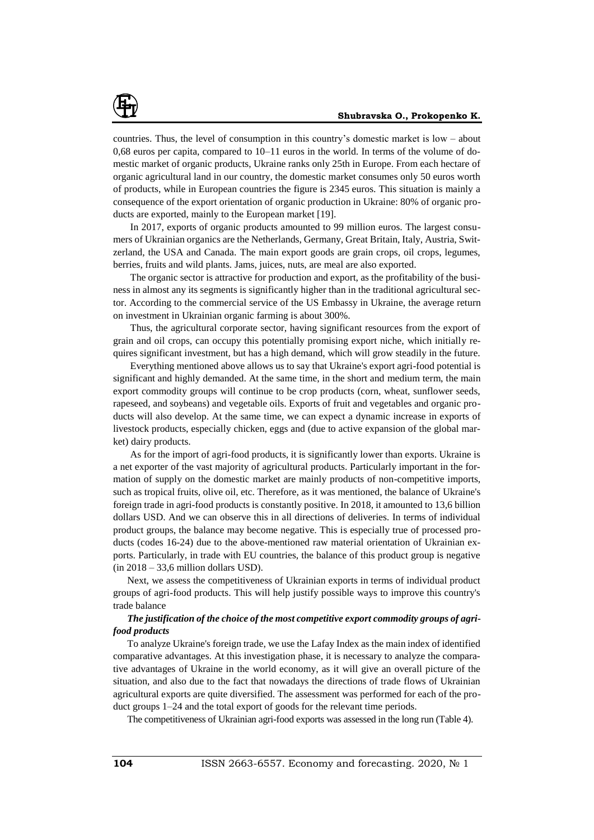countries. Thus, the level of consumption in this country's domestic market is low – about 0,68 euros per capita, compared to 10–11 euros in the world. In terms of the volume of domestic market of organic products, Ukraine ranks only 25th in Europe. From each hectare of organic agricultural land in our country, the domestic market consumes only 50 euros worth of products, while in European countries the figure is 2345 euros. This situation is mainly a consequence of the export orientation of organic production in Ukraine: 80% of organic products are exported, mainly to the European market [19].

In 2017, exports of organic products amounted to 99 million euros. The largest consumers of Ukrainian organics are the Netherlands, Germany, Great Britain, Italy, Austria, Switzerland, the USA and Canada. The main export goods are grain crops, oil crops, legumes, berries, fruits and wild plants. Jams, juices, nuts, are meal are also exported.

The organic sector is attractive for production and export, as the profitability of the business in almost any its segments is significantly higher than in the traditional agricultural sector. According to the commercial service of the US Embassy in Ukraine, the average return on investment in Ukrainian organic farming is about 300%.

Thus, the agricultural corporate sector, having significant resources from the export of grain and oil crops, can occupy this potentially promising export niche, which initially requires significant investment, but has a high demand, which will grow steadily in the future.

Everything mentioned above allows us to say that Ukraine's export agri-food potential is significant and highly demanded. At the same time, in the short and medium term, the main export commodity groups will continue to be crop products (corn, wheat, sunflower seeds, rapeseed, and soybeans) and vegetable oils. Exports of fruit and vegetables and organic products will also develop. At the same time, we can expect a dynamic increase in exports of livestock products, especially chicken, eggs and (due to active expansion of the global market) dairy products.

As for the import of agri-food products, it is significantly lower than exports. Ukraine is a net exporter of the vast majority of agricultural products. Particularly important in the formation of supply on the domestic market are mainly products of non-competitive imports, such as tropical fruits, olive oil, etc. Therefore, as it was mentioned, the balance of Ukraine's foreign trade in agri-food products is constantly positive. In 2018, it amounted to 13,6 billion dollars USD. And we can observe this in all directions of deliveries. In terms of individual product groups, the balance may become negative. This is especially true of processed products (codes 16-24) due to the above-mentioned raw material orientation of Ukrainian exports. Particularly, in trade with EU countries, the balance of this product group is negative (in 2018 – 33,6 million dollars USD).

Next, we assess the competitiveness of Ukrainian exports in terms of individual product groups of agri-food products. This will help justify possible ways to improve this country's trade balance

#### *The justification of the choice of the most competitive export commodity groups of agrifood products*

To analyze Ukraine's foreign trade, we use the Lafay Index as the main index of identified comparative advantages. At this investigation phase, it is necessary to analyze the comparative advantages of Ukraine in the world economy, as it will give an overall picture of the situation, and also due to the fact that nowadays the directions of trade flows of Ukrainian agricultural exports are quite diversified. The assessment was performed for each of the product groups 1–24 and the total export of goods for the relevant time periods.

The competitiveness of Ukrainian agri-food exports was assessed in the long run (Table 4).

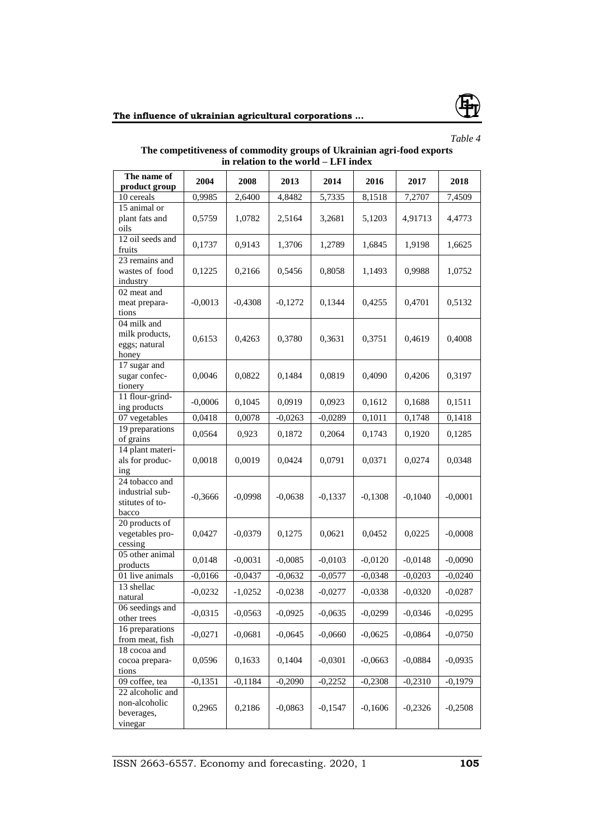



*Table 4*

## **The competitiveness of commodity groups of Ukrainian agri-food exports in relation to the world – LFI index**

| The name of                                                   | 2004      | 2008      | 2013      | 2014      | 2016      | 2017      | 2018      |
|---------------------------------------------------------------|-----------|-----------|-----------|-----------|-----------|-----------|-----------|
| product group                                                 |           |           |           |           |           |           |           |
| 10 cereals                                                    | 0,9985    | 2,6400    | 4,8482    | 5,7335    | 8,1518    | 7,2707    | 7,4509    |
| 15 animal or<br>plant fats and<br>oils                        | 0,5759    | 1,0782    | 2,5164    | 3,2681    | 5,1203    | 4,91713   | 4,4773    |
| 12 oil seeds and<br>fruits                                    | 0,1737    | 0,9143    | 1,3706    | 1,2789    | 1,6845    | 1,9198    | 1,6625    |
| 23 remains and<br>wastes of food<br>industry                  | 0,1225    | 0,2166    | 0,5456    | 0,8058    | 1,1493    | 0,9988    | 1,0752    |
| 02 meat and<br>meat prepara-<br>tions                         | $-0,0013$ | $-0,4308$ | $-0,1272$ | 0,1344    | 0,4255    | 0,4701    | 0,5132    |
| 04 milk and<br>milk products,<br>eggs; natural<br>honey       | 0,6153    | 0,4263    | 0,3780    | 0,3631    | 0,3751    | 0,4619    | 0,4008    |
| 17 sugar and<br>sugar confec-<br>tionery                      | 0,0046    | 0,0822    | 0,1484    | 0,0819    | 0,4090    | 0,4206    | 0,3197    |
| 11 flour-grind-<br>ing products                               | $-0,0006$ | 0,1045    | 0,0919    | 0,0923    | 0,1612    | 0,1688    | 0,1511    |
| 07 vegetables                                                 | 0,0418    | 0,0078    | $-0,0263$ | $-0,0289$ | 0,1011    | 0,1748    | 0,1418    |
| 19 preparations<br>of grains                                  | 0,0564    | 0,923     | 0,1872    | 0,2064    | 0,1743    | 0,1920    | 0,1285    |
| 14 plant materi-<br>als for produc-<br>$\frac{1}{2}$          | 0,0018    | 0,0019    | 0,0424    | 0,0791    | 0,0371    | 0,0274    | 0,0348    |
| 24 tobacco and<br>industrial sub-<br>stitutes of to-<br>bacco | $-0,3666$ | $-0,0998$ | $-0,0638$ | $-0,1337$ | $-0,1308$ | $-0,1040$ | $-0,0001$ |
| 20 products of<br>vegetables pro-<br>cessing                  | 0,0427    | $-0,0379$ | 0,1275    | 0,0621    | 0,0452    | 0,0225    | $-0,0008$ |
| 05 other animal<br>products                                   | 0,0148    | $-0,0031$ | $-0,0085$ | $-0,0103$ | $-0,0120$ | $-0,0148$ | $-0,0090$ |
| 01 live animals                                               | $-0,0166$ | $-0,0437$ | $-0,0632$ | $-0,0577$ | $-0,0348$ | $-0,0203$ | $-0,0240$ |
| 13 shellac<br>natural                                         | $-0,0232$ | $-1,0252$ | $-0,0238$ | $-0,0277$ | $-0,0338$ | $-0,0320$ | $-0,0287$ |
| 06 seedings and<br>other trees                                | $-0,0315$ | $-0,0563$ | $-0,0925$ | $-0,0635$ | $-0,0299$ | $-0,0346$ | $-0,0295$ |
| 16 preparations<br>from meat, fish                            | $-0,0271$ | $-0,0681$ | $-0,0645$ | $-0,0660$ | $-0,0625$ | $-0,0864$ | $-0,0750$ |
| 18 cocoa and<br>cocoa prepara-<br>tions                       | 0,0596    | 0,1633    | 0,1404    | $-0,0301$ | $-0,0663$ | $-0,0884$ | $-0,0935$ |
| 09 coffee, tea                                                | $-0,1351$ | $-0,1184$ | $-0,2090$ | $-0,2252$ | $-0,2308$ | $-0,2310$ | $-0,1979$ |
| 22 alcoholic and<br>non-alcoholic<br>beverages,<br>vinegar    | 0,2965    | 0,2186    | $-0,0863$ | $-0,1547$ | $-0,1606$ | $-0,2326$ | $-0,2508$ |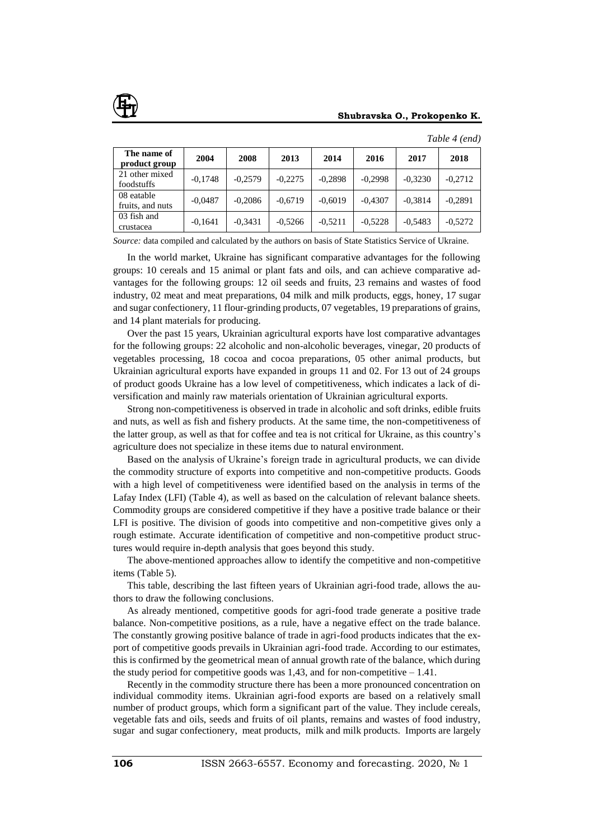

| The name of<br>product group   | 2004      | 2008      | 2013      | 2014      | 2016      | 2017      | 2018      |
|--------------------------------|-----------|-----------|-----------|-----------|-----------|-----------|-----------|
| 21 other mixed<br>foodstuffs   | $-0,1748$ | $-0.2579$ | $-0,2275$ | $-0,2898$ | $-0,2998$ | $-0,3230$ | $-0,2712$ |
| 08 eatable<br>fruits, and nuts | $-0.0487$ | $-0.2086$ | $-0.6719$ | $-0.6019$ | $-0.4307$ | $-0,3814$ | $-0.2891$ |
| 03 fish and<br>crustacea       | $-0,1641$ | $-0.3431$ | $-0.5266$ | $-0,5211$ | $-0.5228$ | $-0.5483$ | $-0.5272$ |

*Table 4 (end)*

*Source:* data compiled and calculated by the authors on basis of State Statistics Service of Ukraine.

In the world market, Ukraine has significant comparative advantages for the following groups: 10 cereals and 15 animal or plant fats and oils, and can achieve comparative advantages for the following groups: 12 oil seeds and fruits, 23 remains and wastes of food industry, 02 meat and meat preparations, 04 milk and milk products, eggs, honey, 17 sugar and sugar confectionery, 11 flour-grinding products, 07 vegetables, 19 preparations of grains, and 14 plant materials for producing.

Over the past 15 years, Ukrainian agricultural exports have lost comparative advantages for the following groups: 22 alcoholic and non-alcoholic beverages, vinegar, 20 products of vegetables processing, 18 cocoa and cocoa preparations, 05 other animal products, but Ukrainian agricultural exports have expanded in groups 11 and 02. For 13 out of 24 groups of product goods Ukraine has a low level of competitiveness, which indicates a lack of diversification and mainly raw materials orientation of Ukrainian agricultural exports.

Strong non-competitiveness is observed in trade in alcoholic and soft drinks, edible fruits and nuts, as well as fish and fishery products. At the same time, the non-competitiveness of the latter group, as well as that for coffee and tea is not critical for Ukraine, as this country's agriculture does not specialize in these items due to natural environment.

Based on the analysis of Ukraine's foreign trade in agricultural products, we can divide the commodity structure of exports into competitive and non-competitive products. Goods with a high level of competitiveness were identified based on the analysis in terms of the Lafay Index (LFI) (Table 4), as well as based on the calculation of relevant balance sheets. Commodity groups are considered competitive if they have a positive trade balance or their LFI is positive. The division of goods into competitive and non-competitive gives only a rough estimate. Accurate identification of competitive and non-competitive product structures would require in-depth analysis that goes beyond this study.

The above-mentioned approaches allow to identify the competitive and non-competitive items (Table 5).

This table, describing the last fifteen years of Ukrainian agri-food trade, allows the authors to draw the following conclusions.

As already mentioned, competitive goods for agri-food trade generate a positive trade balance. Non-competitive positions, as a rule, have a negative effect on the trade balance. The constantly growing positive balance of trade in agri-food products indicates that the export of competitive goods prevails in Ukrainian agri-food trade. According to our estimates, this is confirmed by the geometrical mean of annual growth rate of the balance, which during the study period for competitive goods was 1.43, and for non-competitive  $-1.41$ .

Recently in the commodity structure there has been a more pronounced concentration on individual commodity items. Ukrainian agri-food exports are based on a relatively small number of product groups, which form a significant part of the value. They include cereals, vegetable fats and oils, seeds and fruits of oil plants, remains and wastes of food industry, sugar and sugar confectionery, meat products, milk and milk products. Imports are largely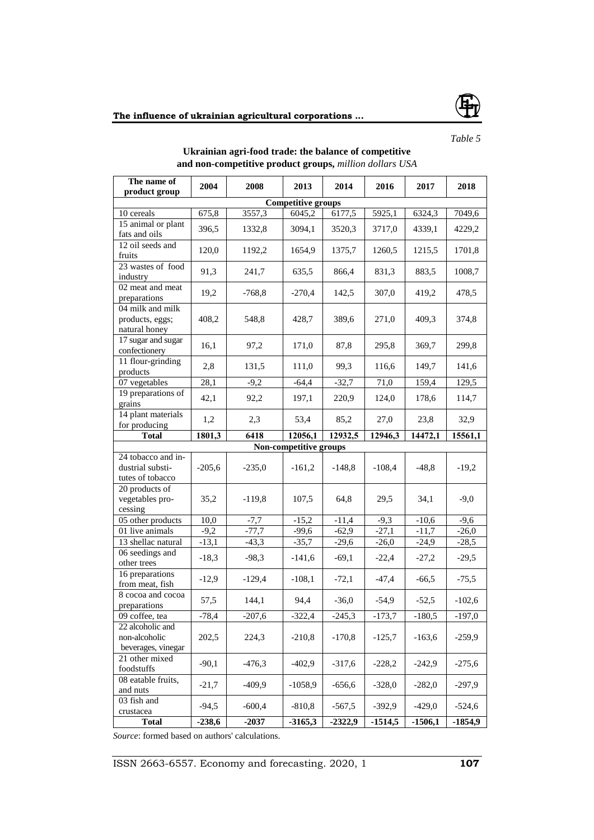

## *Table 5*

| The name of<br>product group                                                                                 | 2004     | 2008     | 2013                   | 2014      | 2016      | 2017      | 2018     |  |  |
|--------------------------------------------------------------------------------------------------------------|----------|----------|------------------------|-----------|-----------|-----------|----------|--|--|
|                                                                                                              |          |          |                        |           |           |           |          |  |  |
| <b>Competitive groups</b><br>10 cereals<br>6177,5<br>675,8<br>3557,3<br>6045,2<br>5925,1<br>6324,3<br>7049,6 |          |          |                        |           |           |           |          |  |  |
| 15 animal or plant                                                                                           |          |          |                        |           |           |           |          |  |  |
| fats and oils                                                                                                | 396,5    | 1332,8   | 3094,1                 | 3520,3    | 3717,0    | 4339,1    | 4229,2   |  |  |
| 12 oil seeds and                                                                                             | 120,0    | 1192,2   | 1654,9                 | 1375,7    | 1260,5    | 1215,5    | 1701,8   |  |  |
| fruits                                                                                                       |          |          |                        |           |           |           |          |  |  |
| 23 wastes of food                                                                                            | 91,3     | 241,7    | 635,5                  | 866,4     | 831,3     | 883,5     | 1008,7   |  |  |
| industry<br>02 meat and meat                                                                                 |          |          |                        |           |           |           |          |  |  |
| preparations                                                                                                 | 19,2     | $-768,8$ | $-270,4$               | 142,5     | 307,0     | 419,2     | 478,5    |  |  |
| 04 milk and milk                                                                                             |          |          |                        |           |           |           |          |  |  |
| products, eggs;                                                                                              | 408,2    | 548,8    | 428,7                  | 389,6     | 271,0     | 409,3     | 374,8    |  |  |
| natural honey                                                                                                |          |          |                        |           |           |           |          |  |  |
| 17 sugar and sugar                                                                                           | 16,1     | 97,2     | 171,0                  | 87,8      | 295,8     | 369,7     | 299,8    |  |  |
| confectionery                                                                                                |          |          |                        |           |           |           |          |  |  |
| 11 flour-grinding                                                                                            | 2,8      | 131,5    | 111,0                  | 99,3      | 116,6     | 149,7     | 141,6    |  |  |
| products<br>07 vegetables                                                                                    | 28,1     | $-9,2$   | $-64,4$                | $-32,7$   | 71,0      | 159,4     | 129,5    |  |  |
| 19 preparations of                                                                                           |          |          |                        |           |           |           |          |  |  |
| grains                                                                                                       | 42,1     | 92,2     | 197,1                  | 220,9     | 124,0     | 178,6     | 114,7    |  |  |
| 14 plant materials                                                                                           | 1,2      |          |                        |           |           |           |          |  |  |
| for producing                                                                                                |          | 2,3      | 53,4                   | 85,2      | 27,0      | 23,8      | 32,9     |  |  |
| <b>Total</b>                                                                                                 | 1801,3   | 6418     | 12056,1                | 12932,5   | 12946,3   | 14472,1   | 15561,1  |  |  |
|                                                                                                              |          |          | Non-competitive groups |           |           |           |          |  |  |
| 24 tobacco and in-                                                                                           |          |          |                        |           |           |           |          |  |  |
| dustrial substi-                                                                                             | $-205,6$ | $-235,0$ | $-161,2$               | $-148,8$  | $-108,4$  | $-48,8$   | $-19,2$  |  |  |
| tutes of tobacco                                                                                             |          |          |                        |           |           |           |          |  |  |
| 20 products of<br>vegetables pro-                                                                            | 35,2     | $-119,8$ | 107,5                  | 64,8      | 29,5      | 34,1      | $-9,0$   |  |  |
| cessing                                                                                                      |          |          |                        |           |           |           |          |  |  |
| 05 other products                                                                                            | 10,0     | $-7,7$   | $-15,2$                | $-11,4$   | $-9,3$    | $-10,6$   | $-9,6$   |  |  |
| 01 live animals                                                                                              | $-9,2$   | $-77,7$  | $-99,6$                | $-62,9$   | $-27,1$   | $-11,7$   | $-26,0$  |  |  |
| 13 shellac natural                                                                                           | $-13,1$  | $-43,3$  | $-35,7$                | $-29,6$   | $-26,0$   | $-24,9$   | $-28,5$  |  |  |
| 06 seedings and                                                                                              |          |          |                        |           |           |           |          |  |  |
| other trees                                                                                                  | $-18,3$  | $-98,3$  | $-141,6$               | $-69,1$   | $-22,4$   | $-27,2$   | $-29,5$  |  |  |
| 16 preparations                                                                                              | $-12,9$  | $-129,4$ | $-108,1$               | $-72,1$   | $-47,4$   | $-66,5$   | $-75,5$  |  |  |
| from meat, fish                                                                                              |          |          |                        |           |           |           |          |  |  |
| 8 cocoa and cocoa                                                                                            | 57,5     | 144,1    | 94,4                   | $-36,0$   | $-54,9$   | $-52,5$   | $-102,6$ |  |  |
| preparations                                                                                                 |          |          |                        |           |           |           |          |  |  |
| 09 coffee, tea                                                                                               | $-78,4$  | $-207,6$ | $-322,4$               | $-245,3$  | $-173,7$  | $-180,5$  | $-197,0$ |  |  |
| 22 alcoholic and<br>non-alcoholic                                                                            | 202,5    | 224,3    | $-210,8$               | $-170,8$  |           | $-163,6$  | $-259,9$ |  |  |
| beverages, vinegar                                                                                           |          |          |                        |           | $-125,7$  |           |          |  |  |
| 21 other mixed                                                                                               |          |          |                        |           |           |           |          |  |  |
| foodstuffs                                                                                                   | $-90,1$  | $-476,3$ | $-402,9$               | $-317,6$  | $-228,2$  | $-242,9$  | $-275,6$ |  |  |
| 08 eatable fruits,                                                                                           |          |          |                        |           |           |           |          |  |  |
| and nuts                                                                                                     | $-21,7$  | $-409,9$ | $-1058,9$              | $-656,6$  | $-328,0$  | $-282,0$  | $-297,9$ |  |  |
| 03 fish and                                                                                                  |          | $-600,4$ |                        |           |           |           |          |  |  |
| crustacea                                                                                                    | $-94,5$  |          | $-810,8$               | $-567,5$  | $-392,9$  | $-429,0$  | $-524,6$ |  |  |
| <b>Total</b>                                                                                                 | $-238,6$ | $-2037$  | $-3165,3$              | $-2322,9$ | $-1514,5$ | $-1506,1$ | -1854,9  |  |  |

### **Ukrainian agri-food trade: the balance of competitive and non-competitive product groups,** *million dollars USA*

*Source*: formed based on authors' calculations.

ISSN 2663-6557. Economy and forecasting. 2020, 1 **107**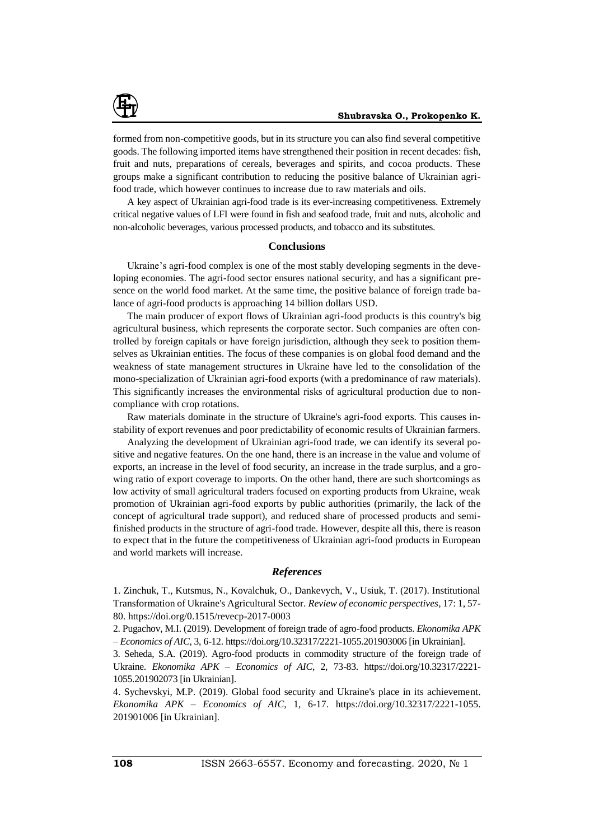

formed from non-competitive goods, but in its structure you can also find several competitive goods. The following imported items have strengthened their position in recent decades: fish, fruit and nuts, preparations of cereals, beverages and spirits, and cocoa products. These groups make a significant contribution to reducing the positive balance of Ukrainian agrifood trade, which however continues to increase due to raw materials and oils.

A key aspect of Ukrainian agri-food trade is its ever-increasing competitiveness. Extremely critical negative values of LFI were found in fish and seafood trade, fruit and nuts, alcoholic and non-alcoholic beverages, various processed products, and tobacco and its substitutes.

### **Conclusions**

Ukraine's agri-food complex is one of the most stably developing segments in the developing economies. The agri-food sector ensures national security, and has a significant presence on the world food market. At the same time, the positive balance of foreign trade balance of agri-food products is approaching 14 billion dollars USD.

The main producer of export flows of Ukrainian agri-food products is this country's big agricultural business, which represents the corporate sector. Such companies are often controlled by foreign capitals or have foreign jurisdiction, although they seek to position themselves as Ukrainian entities. The focus of these companies is on global food demand and the weakness of state management structures in Ukraine have led to the consolidation of the mono-specialization of Ukrainian agri-food exports (with a predominance of raw materials). This significantly increases the environmental risks of agricultural production due to noncompliance with crop rotations.

Raw materials dominate in the structure of Ukraine's agri-food exports. This causes instability of export revenues and poor predictability of economic results of Ukrainian farmers.

Analyzing the development of Ukrainian agri-food trade, we can identify its several positive and negative features. On the one hand, there is an increase in the value and volume of exports, an increase in the level of food security, an increase in the trade surplus, and a growing ratio of export coverage to imports. On the other hand, there are such shortcomings as low activity of small agricultural traders focused on exporting products from Ukraine, weak promotion of Ukrainian agri-food exports by public authorities (primarily, the lack of the concept of agricultural trade support), and reduced share of processed products and semifinished products in the structure of agri-food trade. However, despite all this, there is reason to expect that in the future the competitiveness of Ukrainian agri-food products in European and world markets will increase.

#### *References*

1. Zinchuk, T., Kutsmus, N., Kovalchuk, O., Dankevych, V., Usiuk, T. (2017). Institutional Transformation of Ukraine's Agricultural Sector. *Review of economic perspectives*, 17: 1, 57- 80. https://doi.org/0.1515/revecp-2017-0003

2. Pugachov, M.I. (2019). Development of foreign trade of agro-food products. *Ekonomika APK – Economics of AIC*, 3, 6-12. https://doi.org/10.32317/2221-1055.201903006 [in Ukrainian].

3. Seheda, S.A. (2019). Agro-food products in commodity structure of the foreign trade of Ukraine. *Ekonomika APK – Economics of AIC*, 2, 73-83. https://doi.org/10.32317/2221- 1055.201902073 [in Ukrainian].

4. Sychevskyi, M.P. (2019). Global food security and Ukraine's place in its achievement. *Ekonomika APK – Economics of AIC*, 1, 6-17. [https://doi.org/10.32317/2221-1055.](https://doi.org/10.32317/2221-1055) 201901006 [in Ukrainian].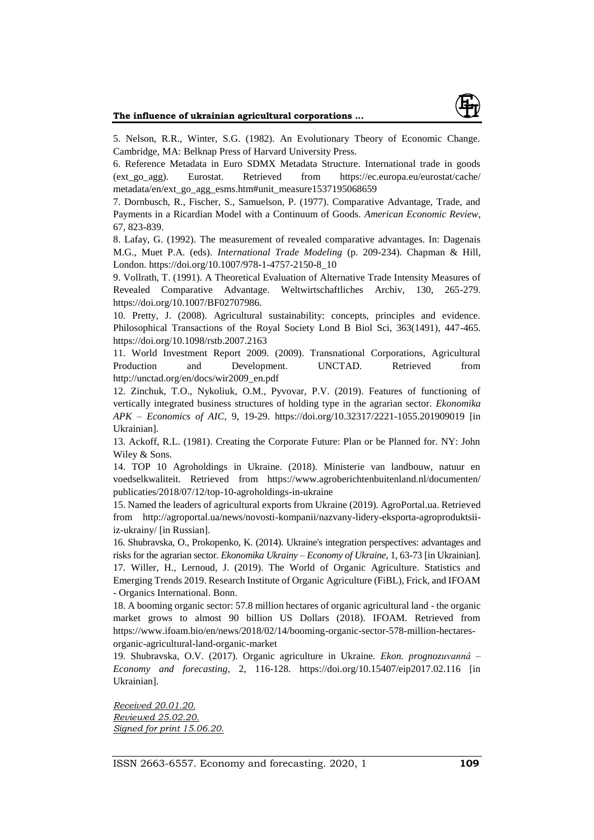

5. Nelson, R.R., Winter, S.G. (1982). An Evolutionary Theory of Economic Change. Cambridge, MA: Belknap Press of Harvard University Press.

6. Reference Metadata in Euro SDMX Metadata Structure. International trade in goods (ext\_go\_agg). Eurostat. Retrieved from [https://ec.europa.eu/eurostat/c](https://ec.europa.eu/eurostat/)ache/ metadata/en/ext\_go\_agg\_esms.htm#unit\_measure1537195068659

7. Dornbusch, R., Fischer, S., Samuelson, P. (1977). Comparative Advantage, Trade, and Payments in a Ricardian Model with a Continuum of Goods. *American Economic Review*, 67, 823-839.

8. Lafay, G. (1992). The measurement of revealed comparative advantages. In: Dagenais M.G., Muet P.A. (eds). *International Trade Modeling* (p. 209-234). Chapman & Hill, London. https://doi.org/10.1007/978-1-4757-2150-8\_10

9. Vollrath, T. (1991). A Theoretical Evaluation of Alternative Trade Intensity Measures of Revealed Comparative Advantage. Weltwirtschaftliches Archiv, 130, 265-279. https://doi.org/10.1007/BF02707986.

10. Pretty, J. (2008). Agricultural sustainability: concepts, principles and evidence. Philosophical Transactions of the Royal Society Lond B Biol Sci, 363(1491), 447-465. https://doi.org/10.1098/rstb.2007.2163

11. World Investment Report 2009. (2009). Transnational Corporations, Agricultural Production and Development. UNCTAD. Retrieved from http://unctad.org/en/docs/wir2009\_en.pdf

12. Zinchuk, T.O., Nykoliuk, O.M., Pyvovar, P.V. (2019). Features of functioning of vertically integrated business structures of holding type in the agrarian sector. *Ekonomika APK – Economics of AIC*, 9, 19-29. https://doi.org/10.32317/2221-1055.201909019 [in Ukrainian].

13. Ackoff, R.L. (1981). Creating the Corporate Future: Plan or be Planned for. NY: John Wiley & Sons.

14. TOP 10 Agroholdings in Ukraine. (2018). Ministerie van landbouw, natuur en voedselkwaliteit. Retrieved from <https://www.agroberichtenbuitenland.nl/documenten/> publicaties/2018/07/12/top-10-agroholdings-in-ukraine

15. Named the leaders of agricultural exports from Ukraine (2019). AgroPortal.ua. Retrieved from http://agroportal.ua/news/novosti-kompanii/nazvany-lidery-eksporta-agroproduktsiiiz-ukrainy/ [in Russian].

16. Shubravska, O., Prokopenko, K. (2014). Ukraine's integration perspectives: advantages and risks for the agrarian sector. *Ekonomika Ukrainy – Economy of Ukraine*, 1, 63-73 [in Ukrainian]. 17. Willer, H., Lernoud, J. (2019). The World of Organic Agriculture. Statistics and Emerging Trends 2019. Research Institute of Organic Agriculture (FiBL), Frick, and IFOAM - Organics International. Bonn.

18. A booming organic sector: 57.8 million hectares of organic agricultural land - the organic market grows to almost 90 billion US Dollars (2018). IFOAM. Retrieved from [https://www.ifoam.bio/en/news/2018/02/14/booming-organic-sector-578-million-hectares](https://www.ifoam.bio/en/news/2018/02/14/booming-organic-sector-578-million-hectares-organic-agricultural-land-organic-market)[organic-agricultural-land-organic-market](https://www.ifoam.bio/en/news/2018/02/14/booming-organic-sector-578-million-hectares-organic-agricultural-land-organic-market)

19. Shubravska, O.V. (2017). Organic agriculture in Ukraine. *Ekon. prognozuvannâ – Economy and forecasting*, 2, 116-128. https://doi.org/10.15407/eip2017.02.116 [in Ukrainian].

*Received 20.01.20. Reviewed 25.02.20. Signed for print 15.06.20.*

ISSN 2663-6557. Economy and forecasting. 2020, 1 **109**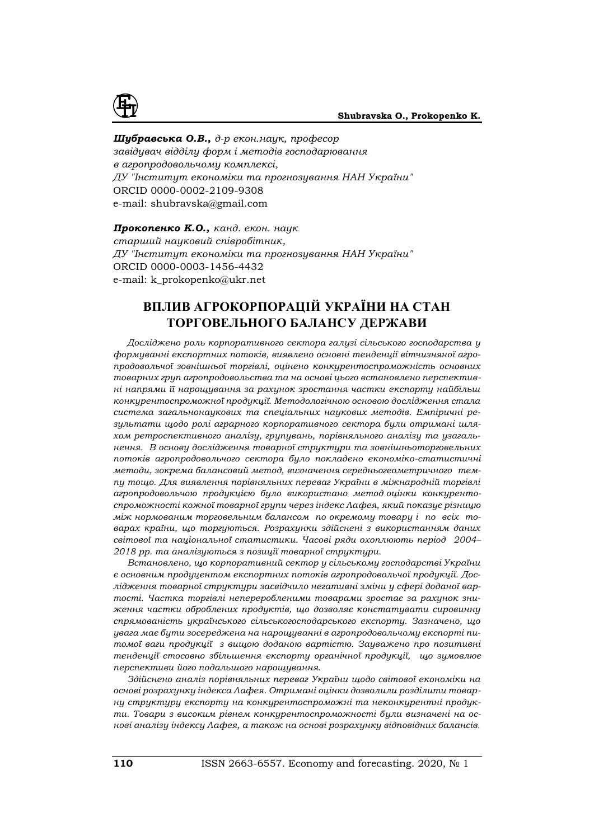

## *Шубравська О.В., д-р екон.наук, професор*

*завідувач відділу форм і методів господарювання в агропродовольчому комплексі, ДУ "Інститут економіки та прогнозування НАН України"* ORCID 0000-0002-2109-9308 е-mail: [shubravska@gmail.com](mailto:shubravska@gmail.com)

*Прокопенко К.О., канд. екон. наук старший науковий співробітник, ДУ "Інститут економіки та прогнозування НАН України"* ORCID 0000-0003-1456-4432 e-mail: [k\\_prokopenko@ukr.net](mailto:k_prokopenko@ukr.net)

# **ВПЛИВ АГРОКОРПОРАЦІЙ УКРАЇНИ НА СТАН ТОРГОВЕЛЬНОГО БАЛАНСУ ДЕРЖАВИ**

*Досліджено роль корпоративного сектора галузі сільського господарства у формуванні експортних потоків, виявлено основні тенденції вітчизняної агропродовольчої зовнішньої торгівлі, оцінено конкурентоспроможність основних товарних груп агропродовольства та на основі цього встановлено перспективні напрями її нарощування за рахунок зростання частки експорту найбільш конкурентоспроможної продукції. Методологічною основою дослідження стала система загальнонаукових та спеціальних наукових методів. Емпіричні результати щодо ролі аграрного корпоративного сектора були отримані шляхом ретроспективного аналізу, групувань, порівняльного аналізу та узагальнення. В основу дослідження товарної структури та зовнішньоторговельних потоків агропродовольчого сектора було покладено економіко-статистичні методи, зокрема балансовий метод, визначення середньогеометричного темпу тощо. Для виявлення порівняльних переваг України в міжнародній торгівлі агропродовольчою продукцією було використано метод оцінки конкурентоспроможності кожної товарної групи через індекс Лафея, який показує різницю між нормованим торговельним балансом по окремому товару і по всіх товарах країни, що торгуються. Розрахунки здійснені з використанням даних світової та національної статистики. Часові ряди охоплюють період 2004– 2018 рр. та аналізуються з позиції товарної структури.* 

*Встановлено, що корпоративний сектор у сільському господарстві України є основним продуцентом експортних потоків агропродовольчої продукції. Дослідження товарної структури засвідчило негативні зміни у сфері доданої вартості. Частка торгівлі непереробленими товарами зростає за рахунок зниження частки оброблених продуктів, що дозволяє констатувати сировинну спрямованість українського сільськогосподарського експорту. Зазначено, що увага має бути зосереджена на нарощуванні в агропродовольчому експорті питомої ваги продукції з вищою доданою вартістю. Зауважено про позитивні тенденції стосовно збільшення експорту органічної продукції, що зумовлює перспективи його подальшого нарощування.* 

*Здійснено аналіз порівняльних переваг України щодо світової економіки на основі розрахунку індекса Лафея. Отримані оцінки дозволили розділити товарну структуру експорту на конкурентоспроможні та неконкурентні продукти. Товари з високим рівнем конкурентоспроможності були визначені на основі аналізу індексу Лафея, а також на основі розрахунку відповідних балансів.*